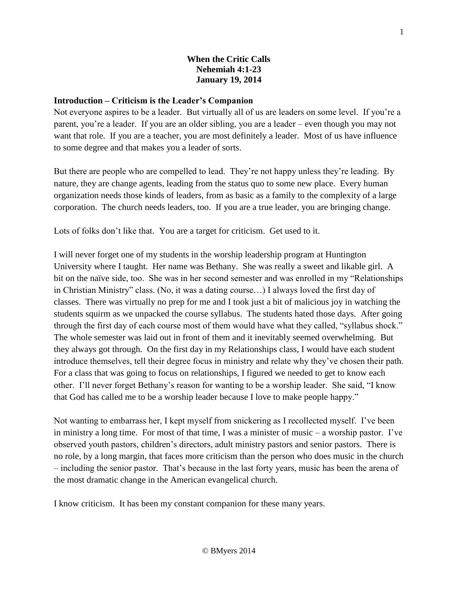### **When the Critic Calls Nehemiah 4:1-23 January 19, 2014**

#### **Introduction – Criticism is the Leader's Companion**

Not everyone aspires to be a leader. But virtually all of us are leaders on some level. If you're a parent, you're a leader. If you are an older sibling, you are a leader – even though you may not want that role. If you are a teacher, you are most definitely a leader. Most of us have influence to some degree and that makes you a leader of sorts.

But there are people who are compelled to lead. They're not happy unless they're leading. By nature, they are change agents, leading from the status quo to some new place. Every human organization needs those kinds of leaders, from as basic as a family to the complexity of a large corporation. The church needs leaders, too. If you are a true leader, you are bringing change.

Lots of folks don't like that. You are a target for criticism. Get used to it.

I will never forget one of my students in the worship leadership program at Huntington University where I taught. Her name was Bethany. She was really a sweet and likable girl. A bit on the naïve side, too. She was in her second semester and was enrolled in my "Relationships in Christian Ministry" class. (No, it was a dating course…) I always loved the first day of classes. There was virtually no prep for me and I took just a bit of malicious joy in watching the students squirm as we unpacked the course syllabus. The students hated those days. After going through the first day of each course most of them would have what they called, "syllabus shock." The whole semester was laid out in front of them and it inevitably seemed overwhelming. But they always got through. On the first day in my Relationships class, I would have each student introduce themselves, tell their degree focus in ministry and relate why they've chosen their path. For a class that was going to focus on relationships, I figured we needed to get to know each other. I'll never forget Bethany's reason for wanting to be a worship leader. She said, "I know that God has called me to be a worship leader because I love to make people happy."

Not wanting to embarrass her, I kept myself from snickering as I recollected myself. I've been in ministry a long time. For most of that time, I was a minister of music – a worship pastor. I've observed youth pastors, children's directors, adult ministry pastors and senior pastors. There is no role, by a long margin, that faces more criticism than the person who does music in the church – including the senior pastor. That's because in the last forty years, music has been the arena of the most dramatic change in the American evangelical church.

I know criticism. It has been my constant companion for these many years.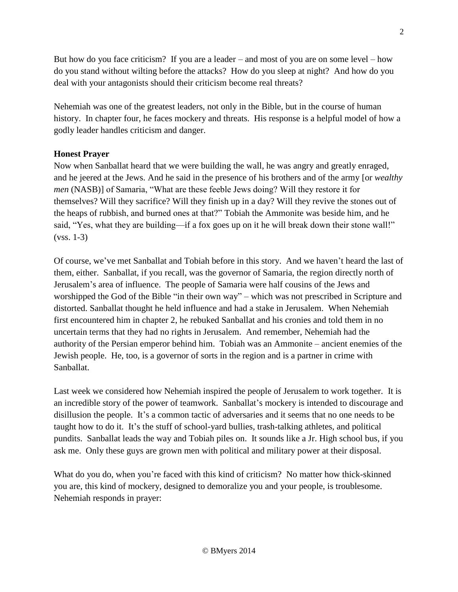But how do you face criticism? If you are a leader – and most of you are on some level – how do you stand without wilting before the attacks? How do you sleep at night? And how do you deal with your antagonists should their criticism become real threats?

Nehemiah was one of the greatest leaders, not only in the Bible, but in the course of human history. In chapter four, he faces mockery and threats. His response is a helpful model of how a godly leader handles criticism and danger.

### **Honest Prayer**

Now when Sanballat heard that we were building the wall, he was angry and greatly enraged, and he jeered at the Jews. And he said in the presence of his brothers and of the army [or *wealthy men* (NASB)] of Samaria, "What are these feeble Jews doing? Will they restore it for themselves? Will they sacrifice? Will they finish up in a day? Will they revive the stones out of the heaps of rubbish, and burned ones at that?" Tobiah the Ammonite was beside him, and he said, "Yes, what they are building—if a fox goes up on it he will break down their stone wall!" (vss. 1-3)

Of course, we've met Sanballat and Tobiah before in this story. And we haven't heard the last of them, either. Sanballat, if you recall, was the governor of Samaria, the region directly north of Jerusalem's area of influence. The people of Samaria were half cousins of the Jews and worshipped the God of the Bible "in their own way" – which was not prescribed in Scripture and distorted. Sanballat thought he held influence and had a stake in Jerusalem. When Nehemiah first encountered him in chapter 2, he rebuked Sanballat and his cronies and told them in no uncertain terms that they had no rights in Jerusalem. And remember, Nehemiah had the authority of the Persian emperor behind him. Tobiah was an Ammonite – ancient enemies of the Jewish people. He, too, is a governor of sorts in the region and is a partner in crime with Sanballat.

Last week we considered how Nehemiah inspired the people of Jerusalem to work together. It is an incredible story of the power of teamwork. Sanballat's mockery is intended to discourage and disillusion the people. It's a common tactic of adversaries and it seems that no one needs to be taught how to do it. It's the stuff of school-yard bullies, trash-talking athletes, and political pundits. Sanballat leads the way and Tobiah piles on. It sounds like a Jr. High school bus, if you ask me. Only these guys are grown men with political and military power at their disposal.

What do you do, when you're faced with this kind of criticism? No matter how thick-skinned you are, this kind of mockery, designed to demoralize you and your people, is troublesome. Nehemiah responds in prayer: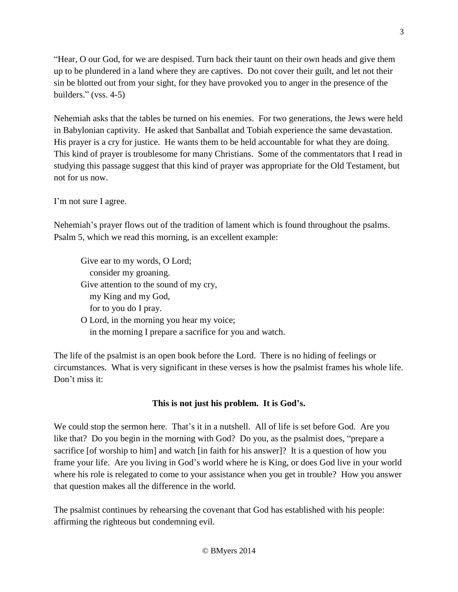"Hear, O our God, for we are despised. Turn back their taunt on their own heads and give them up to be plundered in a land where they are captives. Do not cover their guilt, and let not their sin be blotted out from your sight, for they have provoked you to anger in the presence of the builders." (vss. 4-5)

Nehemiah asks that the tables be turned on his enemies. For two generations, the Jews were held in Babylonian captivity. He asked that Sanballat and Tobiah experience the same devastation. His prayer is a cry for justice. He wants them to be held accountable for what they are doing. This kind of prayer is troublesome for many Christians. Some of the commentators that I read in studying this passage suggest that this kind of prayer was appropriate for the Old Testament, but not for us now.

I'm not sure I agree.

Nehemiah's prayer flows out of the tradition of lament which is found throughout the psalms. Psalm 5, which we read this morning, is an excellent example:

Give ear to my words, O Lord; consider my groaning. Give attention to the sound of my cry, my King and my God, for to you do I pray. O Lord, in the morning you hear my voice;

in the morning I prepare a sacrifice for you and watch.

The life of the psalmist is an open book before the Lord. There is no hiding of feelings or circumstances. What is very significant in these verses is how the psalmist frames his whole life. Don't miss it:

# **This is not just his problem. It is God's.**

We could stop the sermon here. That's it in a nutshell. All of life is set before God. Are you like that? Do you begin in the morning with God? Do you, as the psalmist does, "prepare a sacrifice [of worship to him] and watch [in faith for his answer]? It is a question of how you frame your life. Are you living in God's world where he is King, or does God live in your world where his role is relegated to come to your assistance when you get in trouble? How you answer that question makes all the difference in the world.

The psalmist continues by rehearsing the covenant that God has established with his people: affirming the righteous but condemning evil.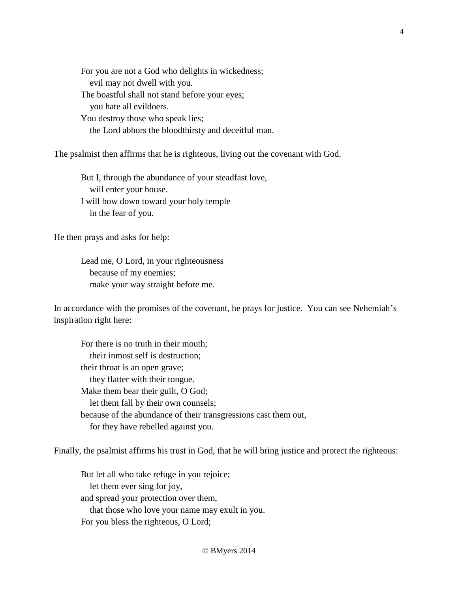For you are not a God who delights in wickedness; evil may not dwell with you. The boastful shall not stand before your eyes; you hate all evildoers. You destroy those who speak lies; the Lord abhors the bloodthirsty and deceitful man.

The psalmist then affirms that he is righteous, living out the covenant with God.

But I, through the abundance of your steadfast love, will enter your house. I will bow down toward your holy temple in the fear of you.

He then prays and asks for help:

Lead me, O Lord, in your righteousness because of my enemies; make your way straight before me.

In accordance with the promises of the covenant, he prays for justice. You can see Nehemiah's inspiration right here:

For there is no truth in their mouth; their inmost self is destruction; their throat is an open grave; they flatter with their tongue. Make them bear their guilt, O God; let them fall by their own counsels; because of the abundance of their transgressions cast them out, for they have rebelled against you.

Finally, the psalmist affirms his trust in God, that he will bring justice and protect the righteous:

But let all who take refuge in you rejoice; let them ever sing for joy, and spread your protection over them, that those who love your name may exult in you. For you bless the righteous, O Lord;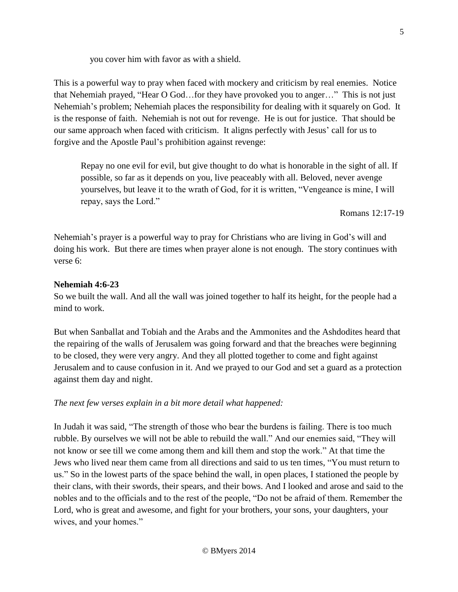This is a powerful way to pray when faced with mockery and criticism by real enemies. Notice that Nehemiah prayed, "Hear O God…for they have provoked you to anger…" This is not just Nehemiah's problem; Nehemiah places the responsibility for dealing with it squarely on God. It is the response of faith. Nehemiah is not out for revenge. He is out for justice. That should be our same approach when faced with criticism. It aligns perfectly with Jesus' call for us to forgive and the Apostle Paul's prohibition against revenge:

Repay no one evil for evil, but give thought to do what is honorable in the sight of all. If possible, so far as it depends on you, live peaceably with all. Beloved, never avenge yourselves, but leave it to the wrath of God, for it is written, "Vengeance is mine, I will repay, says the Lord."

Romans 12:17-19

Nehemiah's prayer is a powerful way to pray for Christians who are living in God's will and doing his work. But there are times when prayer alone is not enough. The story continues with verse 6:

#### **Nehemiah 4:6-23**

So we built the wall. And all the wall was joined together to half its height, for the people had a mind to work.

But when Sanballat and Tobiah and the Arabs and the Ammonites and the Ashdodites heard that the repairing of the walls of Jerusalem was going forward and that the breaches were beginning to be closed, they were very angry. And they all plotted together to come and fight against Jerusalem and to cause confusion in it. And we prayed to our God and set a guard as a protection against them day and night.

# *The next few verses explain in a bit more detail what happened:*

In Judah it was said, "The strength of those who bear the burdens is failing. There is too much rubble. By ourselves we will not be able to rebuild the wall." And our enemies said, "They will not know or see till we come among them and kill them and stop the work." At that time the Jews who lived near them came from all directions and said to us ten times, "You must return to us." So in the lowest parts of the space behind the wall, in open places, I stationed the people by their clans, with their swords, their spears, and their bows. And I looked and arose and said to the nobles and to the officials and to the rest of the people, "Do not be afraid of them. Remember the Lord, who is great and awesome, and fight for your brothers, your sons, your daughters, your wives, and your homes."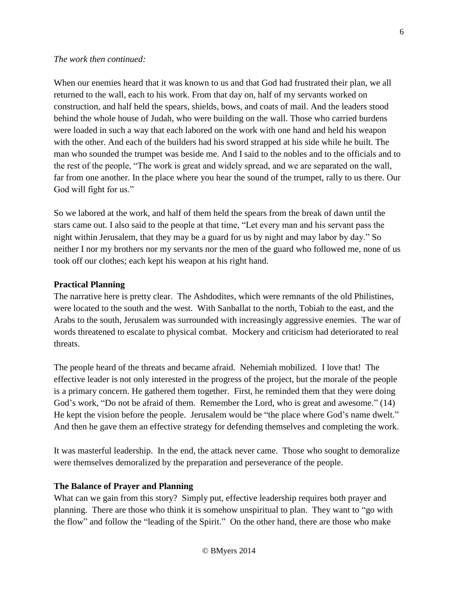#### *The work then continued:*

When our enemies heard that it was known to us and that God had frustrated their plan, we all returned to the wall, each to his work. From that day on, half of my servants worked on construction, and half held the spears, shields, bows, and coats of mail. And the leaders stood behind the whole house of Judah, who were building on the wall. Those who carried burdens were loaded in such a way that each labored on the work with one hand and held his weapon with the other. And each of the builders had his sword strapped at his side while he built. The man who sounded the trumpet was beside me. And I said to the nobles and to the officials and to the rest of the people, "The work is great and widely spread, and we are separated on the wall, far from one another. In the place where you hear the sound of the trumpet, rally to us there. Our God will fight for us."

So we labored at the work, and half of them held the spears from the break of dawn until the stars came out. I also said to the people at that time, "Let every man and his servant pass the night within Jerusalem, that they may be a guard for us by night and may labor by day." So neither I nor my brothers nor my servants nor the men of the guard who followed me, none of us took off our clothes; each kept his weapon at his right hand.

### **Practical Planning**

The narrative here is pretty clear. The Ashdodites, which were remnants of the old Philistines, were located to the south and the west. With Sanballat to the north, Tobiah to the east, and the Arabs to the south, Jerusalem was surrounded with increasingly aggressive enemies. The war of words threatened to escalate to physical combat. Mockery and criticism had deteriorated to real threats.

The people heard of the threats and became afraid. Nehemiah mobilized. I love that! The effective leader is not only interested in the progress of the project, but the morale of the people is a primary concern. He gathered them together. First, he reminded them that they were doing God's work, "Do not be afraid of them. Remember the Lord, who is great and awesome." (14) He kept the vision before the people. Jerusalem would be "the place where God's name dwelt." And then he gave them an effective strategy for defending themselves and completing the work.

It was masterful leadership. In the end, the attack never came. Those who sought to demoralize were themselves demoralized by the preparation and perseverance of the people.

# **The Balance of Prayer and Planning**

What can we gain from this story? Simply put, effective leadership requires both prayer and planning. There are those who think it is somehow unspiritual to plan. They want to "go with the flow" and follow the "leading of the Spirit." On the other hand, there are those who make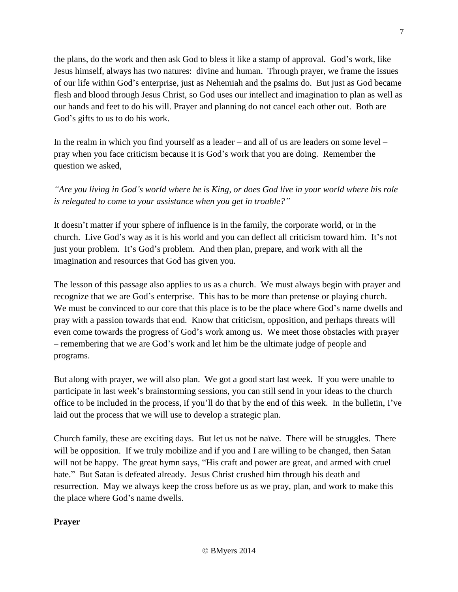the plans, do the work and then ask God to bless it like a stamp of approval. God's work, like Jesus himself, always has two natures: divine and human. Through prayer, we frame the issues of our life within God's enterprise, just as Nehemiah and the psalms do. But just as God became flesh and blood through Jesus Christ, so God uses our intellect and imagination to plan as well as our hands and feet to do his will. Prayer and planning do not cancel each other out. Both are God's gifts to us to do his work.

In the realm in which you find yourself as a leader – and all of us are leaders on some level – pray when you face criticism because it is God's work that you are doing. Remember the question we asked,

*"Are you living in God's world where he is King, or does God live in your world where his role is relegated to come to your assistance when you get in trouble?"*

It doesn't matter if your sphere of influence is in the family, the corporate world, or in the church. Live God's way as it is his world and you can deflect all criticism toward him. It's not just your problem. It's God's problem. And then plan, prepare, and work with all the imagination and resources that God has given you.

The lesson of this passage also applies to us as a church. We must always begin with prayer and recognize that we are God's enterprise. This has to be more than pretense or playing church. We must be convinced to our core that this place is to be the place where God's name dwells and pray with a passion towards that end. Know that criticism, opposition, and perhaps threats will even come towards the progress of God's work among us. We meet those obstacles with prayer – remembering that we are God's work and let him be the ultimate judge of people and programs.

But along with prayer, we will also plan. We got a good start last week. If you were unable to participate in last week's brainstorming sessions, you can still send in your ideas to the church office to be included in the process, if you'll do that by the end of this week. In the bulletin, I've laid out the process that we will use to develop a strategic plan.

Church family, these are exciting days. But let us not be naïve. There will be struggles. There will be opposition. If we truly mobilize and if you and I are willing to be changed, then Satan will not be happy. The great hymn says, "His craft and power are great, and armed with cruel hate." But Satan is defeated already. Jesus Christ crushed him through his death and resurrection. May we always keep the cross before us as we pray, plan, and work to make this the place where God's name dwells.

# **Prayer**